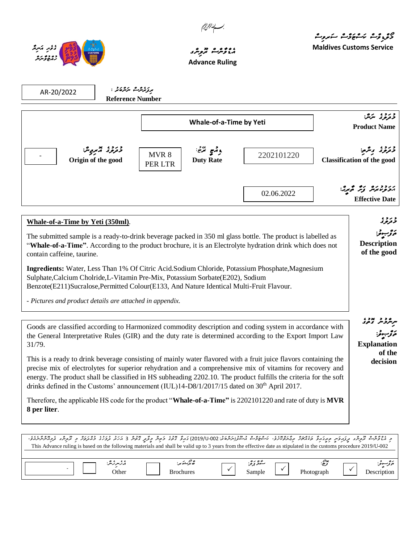



.

## ، **، ، و همه در ه**<br>مرومرث تر*ومب*ر **Advance Ruling**

مەرەرە ئىروگ<br>دى<sub>رد</sub>وگ ئىشھۇپ ئىروگ

**Maldives Customs Service**

| ىرىز ئەرگە ئىر ئەشرە ئە<br>AR-20/2022<br><b>Reference Number</b>                                                                                                                                                                                                                                                                                                                                                                                 |                                                   |            |                                                                         |  |
|--------------------------------------------------------------------------------------------------------------------------------------------------------------------------------------------------------------------------------------------------------------------------------------------------------------------------------------------------------------------------------------------------------------------------------------------------|---------------------------------------------------|------------|-------------------------------------------------------------------------|--|
|                                                                                                                                                                                                                                                                                                                                                                                                                                                  | <b>Whale-of-a-Time by Yeti</b>                    |            | ورو، سرچ:<br><b>Product Name</b>                                        |  |
| درد، چرپرس<br>Origin of the good                                                                                                                                                                                                                                                                                                                                                                                                                 | وقمع ترضج<br>MVR 8<br><b>Duty Rate</b><br>PER LTR | 2202101220 | دبرد، ویژم:<br><b>Classification of the good</b>                        |  |
|                                                                                                                                                                                                                                                                                                                                                                                                                                                  |                                                   | 02.06.2022 | برددوندير زير فحبرير:<br><b>Effective Date</b>                          |  |
| Whale-of-a-Time by Yeti (350ml).<br>The submitted sample is a ready-to-drink beverage packed in 350 ml glass bottle. The product is labelled as<br>"Whale-of-a-Time". According to the product brochure, it is an Electrolyte hydration drink which does not<br>contain caffeine, taurine.                                                                                                                                                       |                                                   |            | د رد ،<br>ترترنو ژ<br>ە ئۇ سېرىتى:<br><b>Description</b><br>of the good |  |
| Ingredients: Water, Less Than 1% Of Citric Acid.Sodium Chloride, Potassium Phosphate, Magnesium<br>Sulphate, Calcium Cholride, L-Vitamin Pre-Mix, Potassium Sorbate(E202), Sodium<br>Benzote(E211)Sucralose,Permitted Colour(E133, And Nature Identical Multi-Fruit Flavour.                                                                                                                                                                     |                                                   |            |                                                                         |  |
| - Pictures and product details are attached in appendix.                                                                                                                                                                                                                                                                                                                                                                                         |                                                   |            |                                                                         |  |
| Goods are classified according to Harmonized commodity description and coding system in accordance with<br>the General Interpretative Rules (GIR) and the duty rate is determined according to the Export Import Law<br>31/79.                                                                                                                                                                                                                   |                                                   |            | ە ژىبوتر:<br><b>Explanation</b>                                         |  |
| This is a ready to drink beverage consisting of mainly water flavored with a fruit juice flavors containing the<br>precise mix of electrolytes for superior rehydration and a comprehensive mix of vitamins for recovery and<br>energy. The product shall be classified in HS subheading 2202.10. The product fulfills the criteria for the soft<br>drinks defined in the Customs' announcement (IUL)14-D8/1/2017/15 dated on $30th$ April 2017. |                                                   |            | of the<br>decision                                                      |  |

Therefore, the applicable HS code for the product "**Whale-of-a-Time"** is 2202101220 and rate of duty is **MVR 8 per liter**.

| د ئىگۇشە تېرىق بېرىرىمىر مېيەدىگە كالەيجى ئالىرىم ئاخۇق ئاتىراشقەن 002-3010) دىگە كەق دۇم كەيگە ئەكەر ئۇرگە ئەرەپ بولىرى ئوچىشىشىدۇ.<br>This Advance ruling is based on the following materials and shall be valid up to 3 years from the effective date as stipulated in the customs procedure 2019/U-002 |                  |          |             |             |
|------------------------------------------------------------------------------------------------------------------------------------------------------------------------------------------------------------------------------------------------------------------------------------------------------------|------------------|----------|-------------|-------------|
| ېزىبرىرىش:                                                                                                                                                                                                                                                                                                 | ھ بڑے ً ہر:      | شۇ ئۇيۇ: | بوج.<br>توڪ | موتوسعو:    |
| )ther                                                                                                                                                                                                                                                                                                      | <b>Brochures</b> | Sample   | Photograph  | Description |